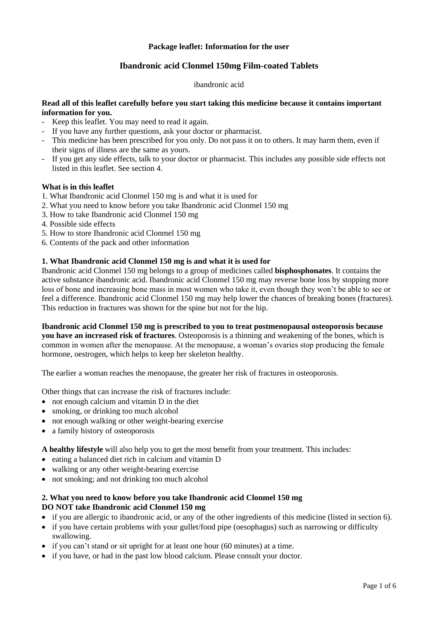## **Package leaflet: Information for the user**

# **Ibandronic acid Clonmel 150mg Film-coated Tablets**

#### ibandronic acid

## **Read all of this leaflet carefully before you start taking this medicine because it contains important information for you.**

- Keep this leaflet. You may need to read it again.
- If you have any further questions, ask your doctor or pharmacist.
- This medicine has been prescribed for you only. Do not pass it on to others. It may harm them, even if their signs of illness are the same as yours.
- If you get any side effects, talk to your doctor or pharmacist. This includes any possible side effects not listed in this leaflet. See section 4.

#### **What is in this leaflet**

- 1. What Ibandronic acid Clonmel 150 mg is and what it is used for
- 2. What you need to know before you take Ibandronic acid Clonmel 150 mg
- 3. How to take Ibandronic acid Clonmel 150 mg
- 4. Possible side effects
- 5. How to store Ibandronic acid Clonmel 150 mg
- 6. Contents of the pack and other information

# **1. What Ibandronic acid Clonmel 150 mg is and what it is used for**

Ibandronic acid Clonmel 150 mg belongs to a group of medicines called **bisphosphonates**. It contains the active substance ibandronic acid. Ibandronic acid Clonmel 150 mg may reverse bone loss by stopping more loss of bone and increasing bone mass in most women who take it, even though they won't be able to see or feel a difference. Ibandronic acid Clonmel 150 mg may help lower the chances of breaking bones (fractures). This reduction in fractures was shown for the spine but not for the hip.

**Ibandronic acid Clonmel 150 mg is prescribed to you to treat postmenopausal osteoporosis because you have an increased risk of fractures**. Osteoporosis is a thinning and weakening of the bones, which is common in women after the menopause. At the menopause, a woman's ovaries stop producing the female hormone, oestrogen, which helps to keep her skeleton healthy.

The earlier a woman reaches the menopause, the greater her risk of fractures in osteoporosis.

Other things that can increase the risk of fractures include:

- not enough calcium and vitamin D in the diet
- smoking, or drinking too much alcohol
- not enough walking or other weight-bearing exercise
- a family history of osteoporosis

**A healthy lifestyle** will also help you to get the most benefit from your treatment. This includes:

- eating a balanced diet rich in calcium and vitamin D
- walking or any other weight-bearing exercise
- not smoking; and not drinking too much alcohol

# **2. What you need to know before you take Ibandronic acid Clonmel 150 mg DO NOT take Ibandronic acid Clonmel 150 mg**

- if you are allergic to ibandronic acid, or any of the other ingredients of this medicine (listed in section 6).
- if you have certain problems with your gullet/food pipe (oesophagus) such as narrowing or difficulty swallowing.
- if you can't stand or sit upright for at least one hour (60 minutes) at a time.
- if you have, or had in the past low blood calcium. Please consult your doctor.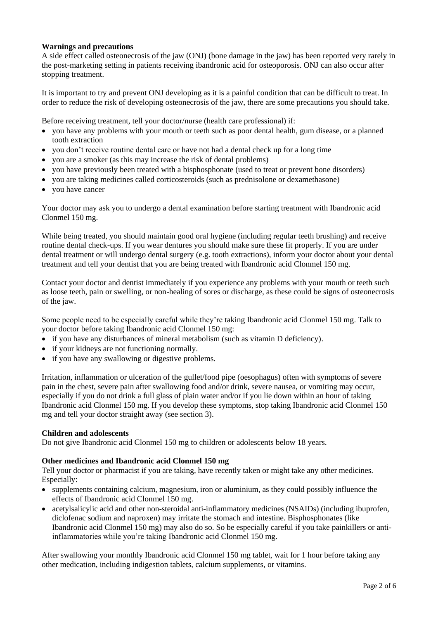# **Warnings and precautions**

A side effect called osteonecrosis of the jaw (ONJ) (bone damage in the jaw) has been reported very rarely in the post-marketing setting in patients receiving ibandronic acid for osteoporosis. ONJ can also occur after stopping treatment.

It is important to try and prevent ONJ developing as it is a painful condition that can be difficult to treat. In order to reduce the risk of developing osteonecrosis of the jaw, there are some precautions you should take.

Before receiving treatment, tell your doctor/nurse (health care professional) if:

- you have any problems with your mouth or teeth such as poor dental health, gum disease, or a planned tooth extraction
- you don't receive routine dental care or have not had a dental check up for a long time
- you are a smoker (as this may increase the risk of dental problems)
- you have previously been treated with a bisphosphonate (used to treat or prevent bone disorders)
- you are taking medicines called corticosteroids (such as prednisolone or dexamethasone)
- you have cancer

Your doctor may ask you to undergo a dental examination before starting treatment with Ibandronic acid Clonmel 150 mg.

While being treated, you should maintain good oral hygiene (including regular teeth brushing) and receive routine dental check-ups. If you wear dentures you should make sure these fit properly. If you are under dental treatment or will undergo dental surgery (e.g. tooth extractions), inform your doctor about your dental treatment and tell your dentist that you are being treated with Ibandronic acid Clonmel 150 mg.

Contact your doctor and dentist immediately if you experience any problems with your mouth or teeth such as loose teeth, pain or swelling, or non-healing of sores or discharge, as these could be signs of osteonecrosis of the jaw.

Some people need to be especially careful while they're taking Ibandronic acid Clonmel 150 mg. Talk to your doctor before taking Ibandronic acid Clonmel 150 mg:

- if you have any disturbances of mineral metabolism (such as vitamin D deficiency).
- if your kidneys are not functioning normally.
- if you have any swallowing or digestive problems.

Irritation, inflammation or ulceration of the gullet/food pipe (oesophagus) often with symptoms of severe pain in the chest, severe pain after swallowing food and/or drink, severe nausea, or vomiting may occur, especially if you do not drink a full glass of plain water and/or if you lie down within an hour of taking Ibandronic acid Clonmel 150 mg. If you develop these symptoms, stop taking Ibandronic acid Clonmel 150 mg and tell your doctor straight away (see section 3).

#### **Children and adolescents**

Do not give Ibandronic acid Clonmel 150 mg to children or adolescents below 18 years.

#### **Other medicines and Ibandronic acid Clonmel 150 mg**

Tell your doctor or pharmacist if you are taking, have recently taken or might take any other medicines. Especially:

- supplements containing calcium, magnesium, iron or aluminium, as they could possibly influence the effects of Ibandronic acid Clonmel 150 mg.
- acetylsalicylic acid and other non-steroidal anti-inflammatory medicines (NSAIDs) (including ibuprofen, diclofenac sodium and naproxen) may irritate the stomach and intestine. Bisphosphonates (like Ibandronic acid Clonmel 150 mg) may also do so. So be especially careful if you take painkillers or antiinflammatories while you're taking Ibandronic acid Clonmel 150 mg.

After swallowing your monthly Ibandronic acid Clonmel 150 mg tablet, wait for 1 hour before taking any other medication, including indigestion tablets, calcium supplements, or vitamins.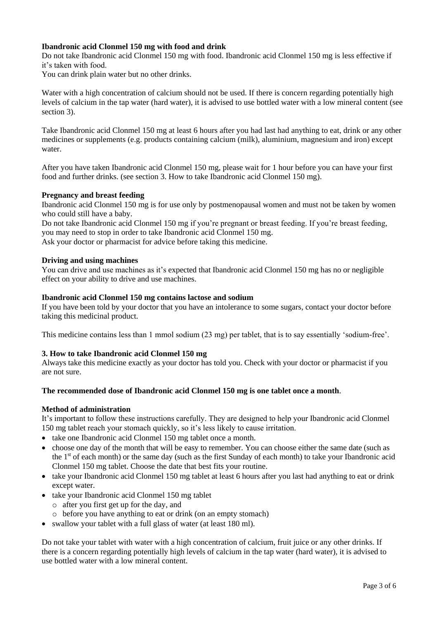# **Ibandronic acid Clonmel 150 mg with food and drink**

Do not take Ibandronic acid Clonmel 150 mg with food. Ibandronic acid Clonmel 150 mg is less effective if it's taken with food.

You can drink plain water but no other drinks.

Water with a high concentration of calcium should not be used. If there is concern regarding potentially high levels of calcium in the tap water (hard water), it is advised to use bottled water with a low mineral content (see section 3).

Take Ibandronic acid Clonmel 150 mg at least 6 hours after you had last had anything to eat, drink or any other medicines or supplements (e.g. products containing calcium (milk), aluminium, magnesium and iron) except water.

After you have taken Ibandronic acid Clonmel 150 mg, please wait for 1 hour before you can have your first food and further drinks. (see section 3. How to take Ibandronic acid Clonmel 150 mg).

#### **Pregnancy and breast feeding**

Ibandronic acid Clonmel 150 mg is for use only by postmenopausal women and must not be taken by women who could still have a baby.

Do not take Ibandronic acid Clonmel 150 mg if you're pregnant or breast feeding. If you're breast feeding, you may need to stop in order to take Ibandronic acid Clonmel 150 mg. Ask your doctor or pharmacist for advice before taking this medicine.

#### **Driving and using machines**

You can drive and use machines as it's expected that Ibandronic acid Clonmel 150 mg has no or negligible effect on your ability to drive and use machines.

#### **Ibandronic acid Clonmel 150 mg contains lactose and sodium**

If you have been told by your doctor that you have an intolerance to some sugars, contact your doctor before taking this medicinal product.

This medicine contains less than 1 mmol sodium (23 mg) per tablet, that is to say essentially 'sodium-free'.

#### **3. How to take Ibandronic acid Clonmel 150 mg**

Always take this medicine exactly as your doctor has told you. Check with your doctor or pharmacist if you are not sure.

#### **The recommended dose of Ibandronic acid Clonmel 150 mg is one tablet once a month**.

#### **Method of administration**

It's important to follow these instructions carefully. They are designed to help your Ibandronic acid Clonmel 150 mg tablet reach your stomach quickly, so it's less likely to cause irritation.

- take one Ibandronic acid Clonmel 150 mg tablet once a month.
- choose one day of the month that will be easy to remember. You can choose either the same date (such as the 1<sup>st</sup> of each month) or the same day (such as the first Sunday of each month) to take your Ibandronic acid Clonmel 150 mg tablet. Choose the date that best fits your routine.
- take your Ibandronic acid Clonmel 150 mg tablet at least 6 hours after you last had anything to eat or drink except water.
- take your Ibandronic acid Clonmel 150 mg tablet
	- o after you first get up for the day, and
	- o before you have anything to eat or drink (on an empty stomach)
- swallow your tablet with a full glass of water (at least 180 ml).

Do not take your tablet with water with a high concentration of calcium, fruit juice or any other drinks. If there is a concern regarding potentially high levels of calcium in the tap water (hard water), it is advised to use bottled water with a low mineral content.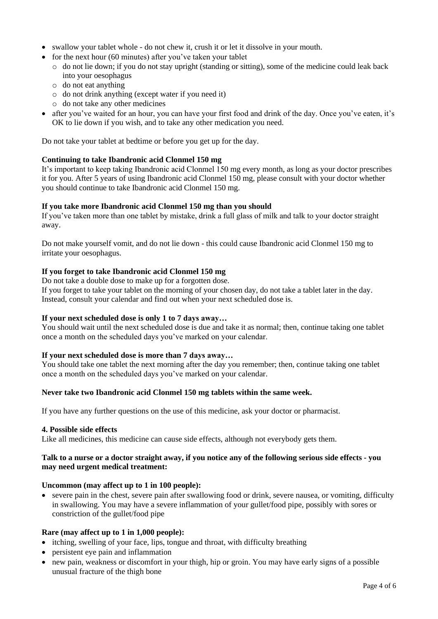- swallow your tablet whole do not chew it, crush it or let it dissolve in your mouth.
- for the next hour  $(60 \text{ minutes})$  after you've taken your tablet
	- $\circ$  do not lie down; if you do not stay upright (standing or sitting), some of the medicine could leak back into your oesophagus
	- o do not eat anything
	- o do not drink anything (except water if you need it)
	- o do not take any other medicines
- after you've waited for an hour, you can have your first food and drink of the day. Once you've eaten, it's OK to lie down if you wish, and to take any other medication you need.

Do not take your tablet at bedtime or before you get up for the day.

### **Continuing to take Ibandronic acid Clonmel 150 mg**

It's important to keep taking Ibandronic acid Clonmel 150 mg every month, as long as your doctor prescribes it for you. After 5 years of using Ibandronic acid Clonmel 150 mg, please consult with your doctor whether you should continue to take Ibandronic acid Clonmel 150 mg.

#### **If you take more Ibandronic acid Clonmel 150 mg than you should**

If you've taken more than one tablet by mistake, drink a full glass of milk and talk to your doctor straight away.

Do not make yourself vomit, and do not lie down - this could cause Ibandronic acid Clonmel 150 mg to irritate your oesophagus.

### **If you forget to take Ibandronic acid Clonmel 150 mg**

Do not take a double dose to make up for a forgotten dose.

If you forget to take your tablet on the morning of your chosen day, do not take a tablet later in the day. Instead, consult your calendar and find out when your next scheduled dose is.

### **If your next scheduled dose is only 1 to 7 days away…**

You should wait until the next scheduled dose is due and take it as normal; then, continue taking one tablet once a month on the scheduled days you've marked on your calendar.

#### **If your next scheduled dose is more than 7 days away…**

You should take one tablet the next morning after the day you remember; then, continue taking one tablet once a month on the scheduled days you've marked on your calendar.

#### **Never take two Ibandronic acid Clonmel 150 mg tablets within the same week.**

If you have any further questions on the use of this medicine, ask your doctor or pharmacist.

#### **4. Possible side effects**

Like all medicines, this medicine can cause side effects, although not everybody gets them.

#### **Talk to a nurse or a doctor straight away, if you notice any of the following serious side effects - you may need urgent medical treatment:**

#### **Uncommon (may affect up to 1 in 100 people):**

 severe pain in the chest, severe pain after swallowing food or drink, severe nausea, or vomiting, difficulty in swallowing. You may have a severe inflammation of your gullet/food pipe, possibly with sores or constriction of the gullet/food pipe

#### **Rare (may affect up to 1 in 1,000 people):**

- itching, swelling of your face, lips, tongue and throat, with difficulty breathing
- persistent eye pain and inflammation
- new pain, weakness or discomfort in your thigh, hip or groin. You may have early signs of a possible unusual fracture of the thigh bone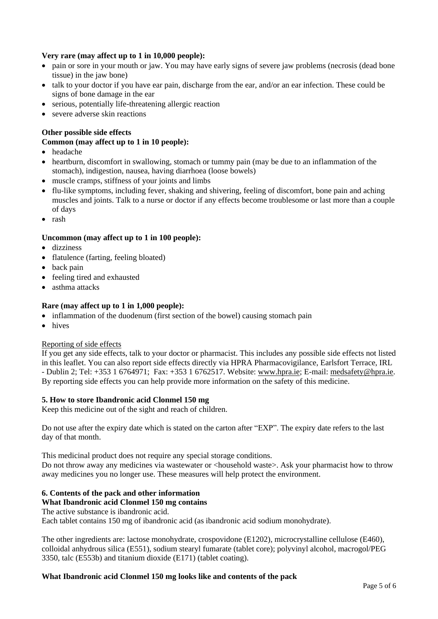# **Very rare (may affect up to 1 in 10,000 people):**

- pain or sore in your mouth or jaw. You may have early signs of severe jaw problems (necrosis (dead bone tissue) in the jaw bone)
- talk to your doctor if you have ear pain, discharge from the ear, and/or an ear infection. These could be signs of bone damage in the ear
- serious, potentially life-threatening allergic reaction
- severe adverse skin reactions

# **Other possible side effects**

## **Common (may affect up to 1 in 10 people):**

- headache
- heartburn, discomfort in swallowing, stomach or tummy pain (may be due to an inflammation of the stomach), indigestion, nausea, having diarrhoea (loose bowels)
- muscle cramps, stiffness of your joints and limbs
- flu-like symptoms, including fever, shaking and shivering, feeling of discomfort, bone pain and aching muscles and joints. Talk to a nurse or doctor if any effects become troublesome or last more than a couple of days
- rash

# **Uncommon (may affect up to 1 in 100 people):**

- dizziness
- flatulence (farting, feeling bloated)
- back pain
- feeling tired and exhausted
- asthma attacks

## **Rare (may affect up to 1 in 1,000 people):**

- inflammation of the duodenum (first section of the bowel) causing stomach pain
- hives

#### Reporting of side effects

If you get any side effects, talk to your doctor or pharmacist. This includes any possible side effects not listed in this leaflet. You can also report side effects directly via HPRA Pharmacovigilance, Earlsfort Terrace, IRL - Dublin 2; Tel: +353 1 6764971; Fax: +353 1 6762517. Website: [www.hpra.ie;](http://www.hpra.ie/) E-mail: [medsafety@hpra.ie.](mailto:medsafety@hpra.ie) By reporting side effects you can help provide more information on the safety of this medicine.

#### **5. How to store Ibandronic acid Clonmel 150 mg**

Keep this medicine out of the sight and reach of children.

Do not use after the expiry date which is stated on the carton after "EXP". The expiry date refers to the last day of that month.

This medicinal product does not require any special storage conditions. Do not throw away any medicines via wastewater or <household waste>. Ask your pharmacist how to throw away medicines you no longer use. These measures will help protect the environment.

# **6. Contents of the pack and other information**

**What Ibandronic acid Clonmel 150 mg contains**

The active substance is ibandronic acid.

Each tablet contains 150 mg of ibandronic acid (as ibandronic acid sodium monohydrate).

The other ingredients are: lactose monohydrate, crospovidone (E1202), microcrystalline cellulose (E460), colloidal anhydrous silica (E551), sodium stearyl fumarate (tablet core); polyvinyl alcohol, macrogol/PEG 3350, talc (E553b) and titanium dioxide (E171) (tablet coating).

#### **What Ibandronic acid Clonmel 150 mg looks like and contents of the pack**